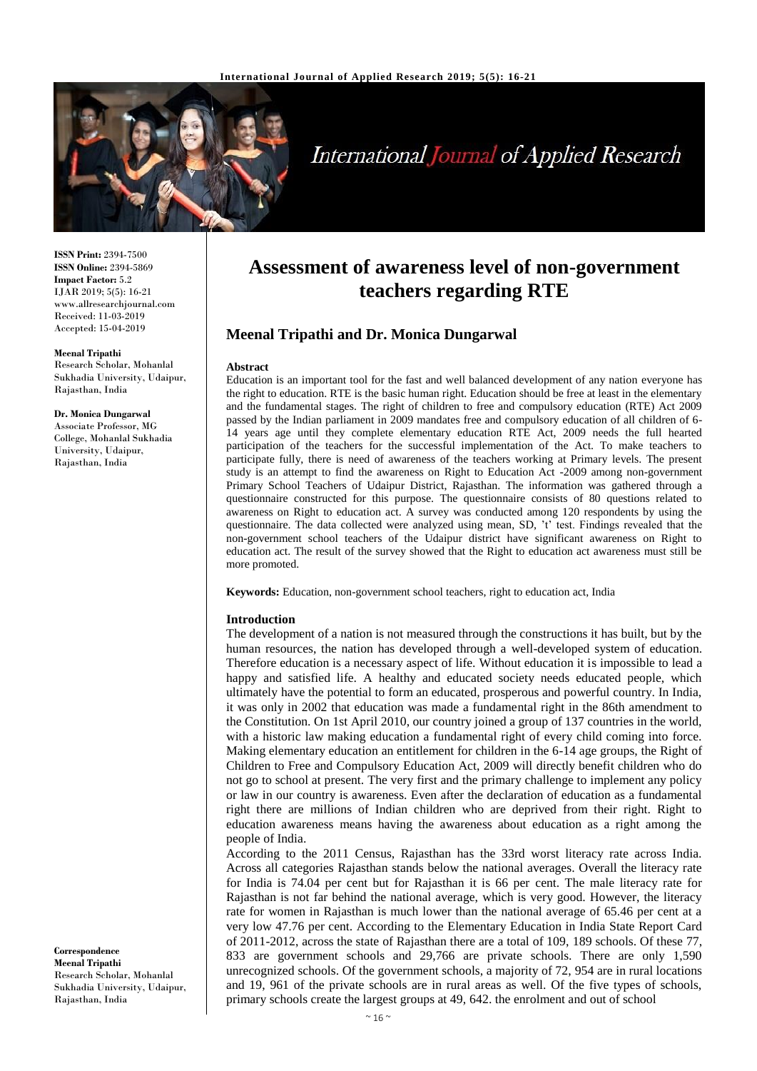

# **International Journal of Applied Research**

**ISSN Print:** 2394-7500 **ISSN Online:** 2394-5869 **Impact Factor:** 5.2 IJAR 2019; 5(5): 16-21 www.allresearchjournal.com Received: 11-03-2019 Accepted: 15-04-2019

#### **Meenal Tripathi**

Research Scholar, Mohanlal Sukhadia University, Udaipur, Rajasthan, India

**Dr. Monica Dungarwal** Associate Professor, MG College, Mohanlal Sukhadia University, Udaipur, Rajasthan, India

**Correspondence Meenal Tripathi** Research Scholar, Mohanlal Sukhadia University, Udaipur, Rajasthan, India

# **Assessment of awareness level of non-government teachers regarding RTE**

# **Meenal Tripathi and Dr. Monica Dungarwal**

#### **Abstract**

Education is an important tool for the fast and well balanced development of any nation everyone has the right to education. RTE is the basic human right. Education should be free at least in the elementary and the fundamental stages. The right of children to free and compulsory education (RTE) Act 2009 passed by the Indian parliament in 2009 mandates free and compulsory education of all children of 6- 14 years age until they complete elementary education RTE Act, 2009 needs the full hearted participation of the teachers for the successful implementation of the Act. To make teachers to participate fully, there is need of awareness of the teachers working at Primary levels. The present study is an attempt to find the awareness on Right to Education Act -2009 among non-government Primary School Teachers of Udaipur District, Rajasthan. The information was gathered through a questionnaire constructed for this purpose. The questionnaire consists of 80 questions related to awareness on Right to education act. A survey was conducted among 120 respondents by using the questionnaire. The data collected were analyzed using mean, SD, 't' test. Findings revealed that the non-government school teachers of the Udaipur district have significant awareness on Right to education act. The result of the survey showed that the Right to education act awareness must still be more promoted.

**Keywords:** Education, non-government school teachers, right to education act, India

#### **Introduction**

The development of a nation is not measured through the constructions it has built, but by the human resources, the nation has developed through a well-developed system of education. Therefore education is a necessary aspect of life. Without education it is impossible to lead a happy and satisfied life. A healthy and educated society needs educated people, which ultimately have the potential to form an educated, prosperous and powerful country. In India, it was only in 2002 that education was made a fundamental right in the 86th amendment to the Constitution. On 1st April 2010, our country joined a group of 137 countries in the world, with a historic law making education a fundamental right of every child coming into force. Making elementary education an entitlement for children in the 6-14 age groups, the Right of Children to Free and Compulsory Education Act, 2009 will directly benefit children who do not go to school at present. The very first and the primary challenge to implement any policy or law in our country is awareness. Even after the declaration of education as a fundamental right there are millions of Indian children who are deprived from their right. Right to education awareness means having the awareness about education as a right among the people of India.

According to the 2011 Census, Rajasthan has the 33rd worst literacy rate across India. Across all categories Rajasthan stands below the national averages. Overall the literacy rate for India is 74.04 per cent but for Rajasthan it is 66 per cent. The male literacy rate for Rajasthan is not far behind the national average, which is very good. However, the literacy rate for women in Rajasthan is much lower than the national average of 65.46 per cent at a very low 47.76 per cent. According to the Elementary Education in India State Report Card of 2011-2012, across the state of Rajasthan there are a total of 109, 189 schools. Of these 77, 833 are government schools and 29,766 are private schools. There are only 1,590 unrecognized schools. Of the government schools, a majority of 72, 954 are in rural locations and 19, 961 of the private schools are in rural areas as well. Of the five types of schools, primary schools create the largest groups at 49, 642. the enrolment and out of school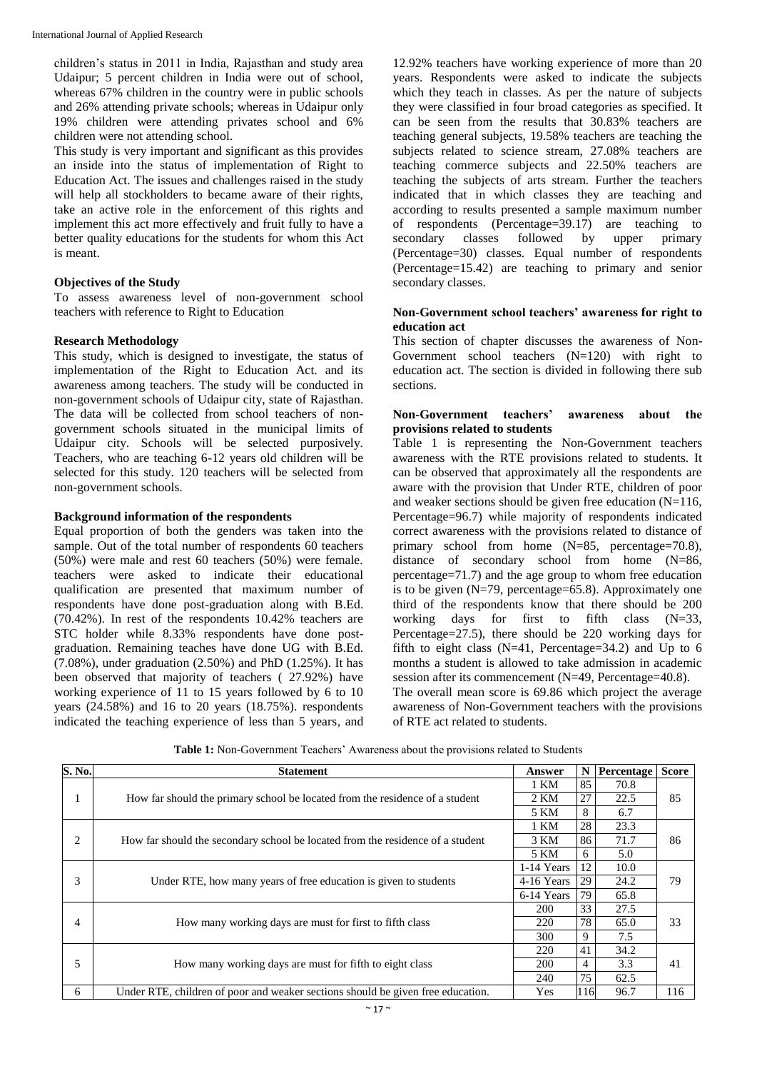children's status in 2011 in India, Rajasthan and study area Udaipur; 5 percent children in India were out of school, whereas  $67\%$  children in the country were in public schools and 26% attending private schools; whereas in Udaipur only 19% children were attending privates school and 6% children were not attending school.

This study is very important and significant as this provides an inside into the status of implementation of Right to Education Act. The issues and challenges raised in the study will help all stockholders to became aware of their rights, take an active role in the enforcement of this rights and implement this act more effectively and fruit fully to have a better quality educations for the students for whom this Act is meant.

### **Objectives of the Study**

To assess awareness level of non-government school teachers with reference to Right to Education

### **Research Methodology**

This study, which is designed to investigate, the status of implementation of the Right to Education Act. and its awareness among teachers. The study will be conducted in non-government schools of Udaipur city, state of Rajasthan. The data will be collected from school teachers of nongovernment schools situated in the municipal limits of Udaipur city. Schools will be selected purposively. Teachers, who are teaching 6-12 years old children will be selected for this study. 120 teachers will be selected from non-government schools.

#### **Background information of the respondents**

Equal proportion of both the genders was taken into the sample. Out of the total number of respondents 60 teachers (50%) were male and rest 60 teachers (50%) were female. teachers were asked to indicate their educational qualification are presented that maximum number of respondents have done post-graduation along with B.Ed.  $(70.42\%)$ . In rest of the respondents  $10.42\%$  teachers are STC holder while 8.33% respondents have done postgraduation. Remaining teaches have done UG with B.Ed. (7.08%), under graduation (2.50%) and PhD (1.25%). It has been observed that majority of teachers ( 27.92%) have working experience of 11 to 15 years followed by 6 to 10 years (24.58%) and 16 to 20 years (18.75%). respondents indicated the teaching experience of less than 5 years, and

12.92% teachers have working experience of more than 20 years. Respondents were asked to indicate the subjects which they teach in classes. As per the nature of subjects they were classified in four broad categories as specified. It can be seen from the results that 30.83% teachers are teaching general subjects, 19.58% teachers are teaching the subjects related to science stream, 27.08% teachers are teaching commerce subjects and 22.50% teachers are teaching the subjects of arts stream. Further the teachers indicated that in which classes they are teaching and according to results presented a sample maximum number of respondents (Percentage=39.17) are teaching to secondary classes followed by upper primary (Percentage=30) classes. Equal number of respondents (Percentage=15.42) are teaching to primary and senior secondary classes.

#### **Non-Government school teachers' awareness for right to education act**

This section of chapter discusses the awareness of Non-Government school teachers  $(N=120)$  with right to education act. The section is divided in following there sub sections.

#### **Non-Government teachers' awareness about the provisions related to students**

Table 1 is representing the Non-Government teachers awareness with the RTE provisions related to students. It can be observed that approximately all the respondents are aware with the provision that Under RTE, children of poor and weaker sections should be given free education (N=116, Percentage=96.7) while majority of respondents indicated correct awareness with the provisions related to distance of primary school from home (N=85, percentage=70.8), distance of secondary school from home (N=86, percentage=71.7) and the age group to whom free education is to be given (N=79, percentage=65.8). Approximately one third of the respondents know that there should be 200 working days for first to fifth class  $(N=33)$ , Percentage=27.5), there should be 220 working days for fifth to eight class (N=41, Percentage=34.2) and Up to 6 months a student is allowed to take admission in academic session after its commencement (N=49, Percentage=40.8). The overall mean score is 69.86 which project the average awareness of Non-Government teachers with the provisions of RTE act related to students.

**Table 1:** Non-Government Teachers' Awareness about the provisions related to Students

| S. No. | <b>Statement</b>                                                                | Answer     | N   | Percentage | <b>Score</b> |
|--------|---------------------------------------------------------------------------------|------------|-----|------------|--------------|
|        | How far should the primary school be located from the residence of a student    | 1 KM       | 85  | 70.8       | 85           |
|        |                                                                                 | 2 KM       | 27  | 22.5       |              |
|        |                                                                                 | 5 KM       | 8   | 6.7        |              |
|        |                                                                                 | 1 KM       | 28  | 23.3       |              |
| 2      | How far should the secondary school be located from the residence of a student  | 3 KM       | 86  | 71.7       | 86           |
|        |                                                                                 | 5 KM       | 6   | 5.0        |              |
| 3      | Under RTE, how many years of free education is given to students                | 1-14 Years | 12  | 10.0       | 79           |
|        |                                                                                 | 4-16 Years | 29  | 24.2       |              |
|        |                                                                                 | 6-14 Years | 79  | 65.8       |              |
|        | How many working days are must for first to fifth class                         | <b>200</b> | 33  | 27.5       |              |
| 4      |                                                                                 | 220        | 78  | 65.0       | 33           |
|        |                                                                                 | 300        | 9   | 7.5        |              |
| 5      |                                                                                 | 220        | 41  | 34.2       |              |
|        | How many working days are must for fifth to eight class                         | <b>200</b> | 4   | 3.3        | 41           |
|        |                                                                                 |            | 75  | 62.5       |              |
| 6      | Under RTE, children of poor and weaker sections should be given free education. | Yes        | 116 | 96.7       | 116          |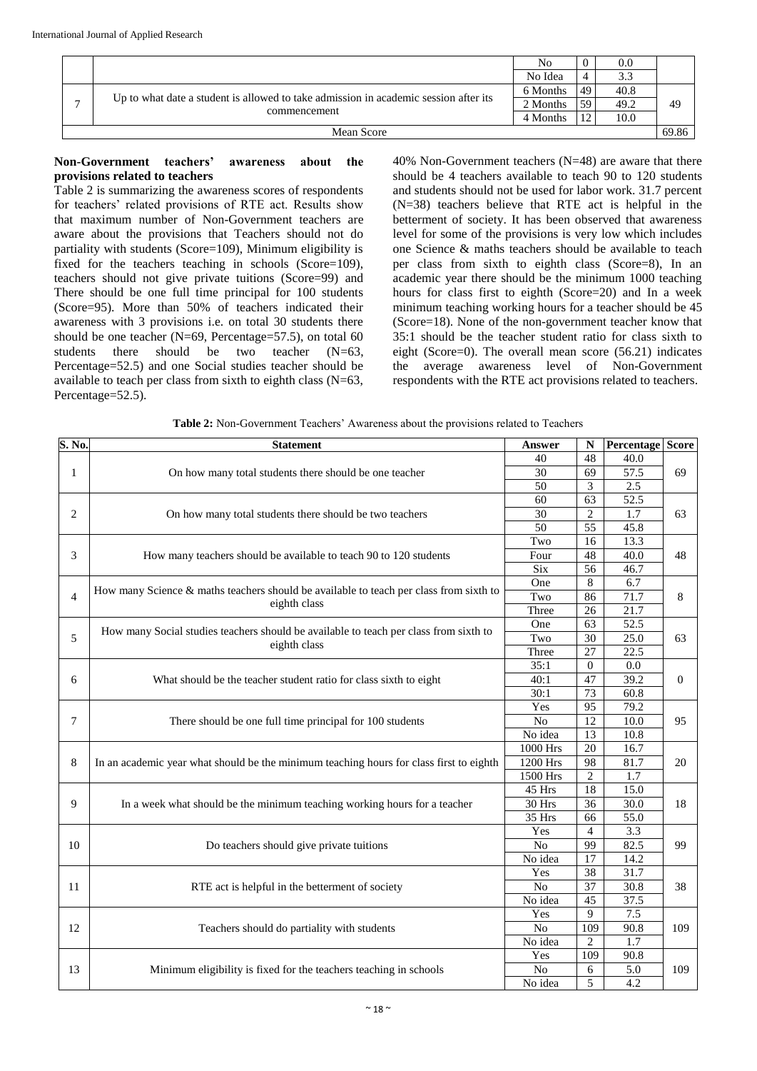|              |                                                                                      | No       | U  | 0.0  |       |
|--------------|--------------------------------------------------------------------------------------|----------|----|------|-------|
|              |                                                                                      | No Idea  | 4  | 3.3  |       |
|              |                                                                                      | 6 Months | 49 | 40.8 |       |
| $\mathbf{r}$ | Up to what date a student is allowed to take admission in academic session after its | 2 Months | 59 | 49.2 | 49    |
|              | commencement                                                                         | 4 Months | 12 | 10.0 |       |
| Mean Score   |                                                                                      |          |    |      | 69.86 |

# **Non-Government teachers' awareness about the provisions related to teachers**

Table 2 is summarizing the awareness scores of respondents for teachers' related provisions of RTE act. Results show that maximum number of Non-Government teachers are aware about the provisions that Teachers should not do partiality with students (Score=109), Minimum eligibility is fixed for the teachers teaching in schools (Score=109), teachers should not give private tuitions (Score=99) and There should be one full time principal for 100 students (Score=95). More than 50% of teachers indicated their awareness with 3 provisions i.e. on total 30 students there should be one teacher (N=69, Percentage=57.5), on total 60 students there should be two teacher (N=63, Percentage=52.5) and one Social studies teacher should be available to teach per class from sixth to eighth class (N=63, Percentage=52.5).

40% Non-Government teachers (N=48) are aware that there should be 4 teachers available to teach 90 to 120 students and students should not be used for labor work. 31.7 percent  $(N=38)$  teachers believe that RTE act is helpful in the betterment of society. It has been observed that awareness level for some of the provisions is very low which includes one Science & maths teachers should be available to teach per class from sixth to eighth class (Score=8), In an academic year there should be the minimum 1000 teaching hours for class first to eighth (Score=20) and In a week minimum teaching working hours for a teacher should be 45 (Score=18). None of the non-government teacher know that 35:1 should be the teacher student ratio for class sixth to eight (Score=0). The overall mean score (56.21) indicates the average awareness level of Non-Government respondents with the RTE act provisions related to teachers.

| S. No.         | <b>Statement</b>                                                                        | Answer                | N               | <b>Percentage Score</b> |                |
|----------------|-----------------------------------------------------------------------------------------|-----------------------|-----------------|-------------------------|----------------|
| 1              |                                                                                         | 40                    | 48              | 40.0                    |                |
|                | On how many total students there should be one teacher                                  | 30                    | 69              | 57.5                    | 69             |
|                |                                                                                         | 50                    | 3               | 2.5                     |                |
|                |                                                                                         | 60                    | 63              | 52.5                    | 63             |
| 2              | On how many total students there should be two teachers                                 | 30                    | $\mathfrak{2}$  | $\overline{1.7}$        |                |
|                |                                                                                         | 50                    | 55              | 45.8                    |                |
|                |                                                                                         | Two                   | 16              | 13.3                    |                |
| 3              | How many teachers should be available to teach 90 to 120 students                       | Four                  | 48              | 40.0                    | 48             |
|                |                                                                                         | Six                   | 56              | 46.7                    |                |
|                |                                                                                         | One                   | $\,$ 8 $\,$     | 6.7                     |                |
| $\overline{4}$ | How many Science & maths teachers should be available to teach per class from sixth to  | Two                   | 86              | 71.7                    | 8              |
|                | eighth class                                                                            | Three                 | 26              | $\overline{21.7}$       |                |
|                |                                                                                         | One                   | 63              | 52.5                    |                |
| 5              | How many Social studies teachers should be available to teach per class from sixth to   | Two                   | 30              | 25.0                    | 63             |
|                | eighth class                                                                            | Three                 | 27              | 22.5                    |                |
|                |                                                                                         | 35:1                  | $\mathbf{0}$    | 0.0                     | $\overline{0}$ |
| 6              | What should be the teacher student ratio for class sixth to eight                       | 40:1                  | 47              | 39.2                    |                |
|                |                                                                                         | 30:1                  | 73              | 60.8                    |                |
|                |                                                                                         | Yes                   | $\overline{95}$ | 79.2                    | 95             |
| 7              | There should be one full time principal for 100 students                                | N <sub>o</sub>        | 12              | 10.0                    |                |
|                |                                                                                         | No idea               | 13              | 10.8                    |                |
|                |                                                                                         | 1000 Hrs              | 20              | 16.7                    | 20             |
| 8              | In an academic year what should be the minimum teaching hours for class first to eighth | 1200 Hrs              | 98              | 81.7                    |                |
|                |                                                                                         | 1500 Hrs              | $\overline{c}$  | 1.7                     |                |
|                |                                                                                         | 45 Hrs                | $\overline{18}$ | 15.0                    | 18             |
| 9              | In a week what should be the minimum teaching working hours for a teacher               | 30 Hrs                | 36              | 30.0                    |                |
|                |                                                                                         | 35 Hrs                | 66              | 55.0                    |                |
|                |                                                                                         | $\overline{4}$<br>Yes | 3.3             |                         |                |
| 10             | Do teachers should give private tuitions                                                | N <sub>o</sub>        | 99              | 82.5                    | 99             |
|                |                                                                                         | No idea               | 17              | 14.2                    |                |
|                |                                                                                         | Yes                   | 38              | 31.7                    |                |
| 11             | RTE act is helpful in the betterment of society                                         | $\overline{No}$       | $\overline{37}$ | 30.8                    | 38             |
|                |                                                                                         | No idea               | $\overline{45}$ | 37.5                    |                |
| 12             | Teachers should do partiality with students                                             | Yes                   | 9               | 7.5                     |                |
|                |                                                                                         | N <sub>o</sub>        | 109             | 90.8                    | 109            |
|                |                                                                                         | No idea               | 2               | 1.7                     |                |
|                |                                                                                         | Yes                   | 109             | 90.8                    |                |
| 13             | Minimum eligibility is fixed for the teachers teaching in schools                       | No                    | 6               | 5.0                     | 109            |
|                |                                                                                         | No idea               | 5               | 4.2                     |                |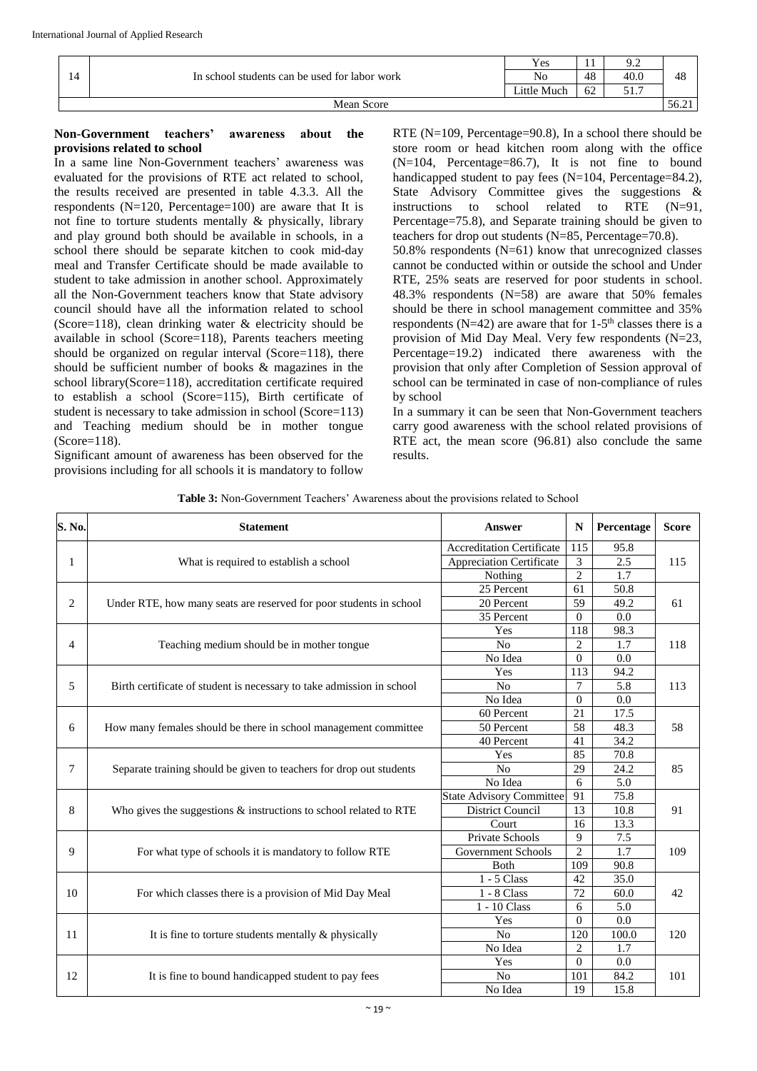|            | In school students can be used for labor work<br>14 | Yes         | . . | ے .  |       |
|------------|-----------------------------------------------------|-------------|-----|------|-------|
|            |                                                     | No          | 48  | 40.0 | -48   |
|            |                                                     | Little Much | 62  | ،    |       |
| Mean Score |                                                     |             |     |      | 56.21 |

## **Non-Government teachers' awareness about the provisions related to school**

In a same line Non-Government teachers' awareness was evaluated for the provisions of RTE act related to school, the results received are presented in table 4.3.3. All the respondents  $(N=120,$  Percentage=100) are aware that It is not fine to torture students mentally & physically, library and play ground both should be available in schools, in a school there should be separate kitchen to cook mid-day meal and Transfer Certificate should be made available to student to take admission in another school. Approximately all the Non-Government teachers know that State advisory council should have all the information related to school (Score=118), clean drinking water & electricity should be available in school (Score=118), Parents teachers meeting should be organized on regular interval (Score=118), there should be sufficient number of books & magazines in the school library(Score=118), accreditation certificate required to establish a school (Score=115), Birth certificate of student is necessary to take admission in school (Score=113) and Teaching medium should be in mother tongue (Score=118).

Significant amount of awareness has been observed for the provisions including for all schools it is mandatory to follow RTE (N=109, Percentage=90.8), In a school there should be store room or head kitchen room along with the office  $(N=104,$  Percentage=86.7), It is not fine to bound handicapped student to pay fees  $(N=104,$  Percentage=84.2), State Advisory Committee gives the suggestions & instructions to school related to RTE (N=91, Percentage=75.8), and Separate training should be given to teachers for drop out students  $(N=85,$  Percentage=70.8).

50.8% respondents  $(N=61)$  know that unrecognized classes cannot be conducted within or outside the school and Under RTE, 25% seats are reserved for poor students in school. 48.3% respondents (N=58) are aware that 50% females should be there in school management committee and 35% respondents ( $N=42$ ) are aware that for 1-5<sup>th</sup> classes there is a provision of Mid Day Meal. Very few respondents (N=23, Percentage=19.2) indicated there awareness with the provision that only after Completion of Session approval of school can be terminated in case of non-compliance of rules by school

In a summary it can be seen that Non-Government teachers carry good awareness with the school related provisions of RTE act, the mean score (96.81) also conclude the same results.

| S. No. | <b>Statement</b>                                                      | <b>Answer</b>                    | N               | Percentage       | <b>Score</b> |  |
|--------|-----------------------------------------------------------------------|----------------------------------|-----------------|------------------|--------------|--|
|        |                                                                       | <b>Accreditation Certificate</b> | 115             | 95.8             |              |  |
| 1      | What is required to establish a school                                | <b>Appreciation Certificate</b>  | 3               | 2.5              | 115          |  |
|        |                                                                       | Nothing                          | $\overline{2}$  | 1.7              |              |  |
|        |                                                                       | 25 Percent                       | 61              | 50.8             |              |  |
| 2      | Under RTE, how many seats are reserved for poor students in school    | 20 Percent                       | 59              | 49.2             | 61           |  |
|        |                                                                       | 35 Percent                       | $\mathbf{0}$    | 0.0              |              |  |
|        |                                                                       | Yes                              | 118             | 98.3             |              |  |
| 4      | Teaching medium should be in mother tongue                            | No                               | $\overline{c}$  | 1.7              | 118          |  |
|        |                                                                       | No Idea                          | $\overline{0}$  | 0.0              |              |  |
|        |                                                                       | Yes                              | 113             | 94.2             |              |  |
| 5      | Birth certificate of student is necessary to take admission in school | N <sub>0</sub>                   | $\overline{7}$  | 5.8              | 113          |  |
|        |                                                                       | No Idea                          | $\Omega$        | 0.0              |              |  |
|        |                                                                       | 60 Percent                       | 21              | 17.5             | 58           |  |
| 6      | How many females should be there in school management committee       | 50 Percent                       | $\overline{58}$ | 48.3             |              |  |
|        |                                                                       | 40 Percent                       | 41              | 34.2             |              |  |
|        |                                                                       | Yes                              | 85              | 70.8             | 85           |  |
| 7      | Separate training should be given to teachers for drop out students   | N <sub>o</sub>                   | 29              | 24.2             |              |  |
|        |                                                                       | No Idea                          | 6               | $\overline{5.0}$ |              |  |
|        |                                                                       | <b>State Advisory Committee</b>  | 91              | 75.8             |              |  |
| 8      | Who gives the suggestions $\&$ instructions to school related to RTE  | <b>District Council</b>          | 13              | 10.8             | 91           |  |
|        |                                                                       | Court                            | 16              | 13.3             |              |  |
|        |                                                                       | Private Schools                  | 9               | $\overline{7.5}$ |              |  |
| 9      | For what type of schools it is mandatory to follow RTE                | Government Schools               | $\overline{c}$  | 1.7              | 109          |  |
|        |                                                                       | Both                             | 109             | 90.8             |              |  |
|        |                                                                       | $1 - 5$ Class                    | 42              | 35.0             |              |  |
| 10     | For which classes there is a provision of Mid Day Meal                | $1 - 8$ Class                    | 72              | 60.0             | 42           |  |
|        |                                                                       | 1 - 10 Class                     | 6               | 5.0              |              |  |
|        |                                                                       | Yes                              | $\overline{0}$  | 0.0              |              |  |
| 11     | It is fine to torture students mentally & physically                  | N <sub>o</sub>                   | 120             | 100.0            | 120          |  |
|        |                                                                       | No Idea                          | 2               | 1.7              |              |  |
|        |                                                                       | Yes                              | $\Omega$        | 0.0              |              |  |
| 12     | It is fine to bound handicapped student to pay fees                   | $\rm No$                         | 101             | 84.2             | 101          |  |
|        |                                                                       | No Idea                          | 19              | 15.8             |              |  |

**Table 3:** Non-Government Teachers' Awareness about the provisions related to School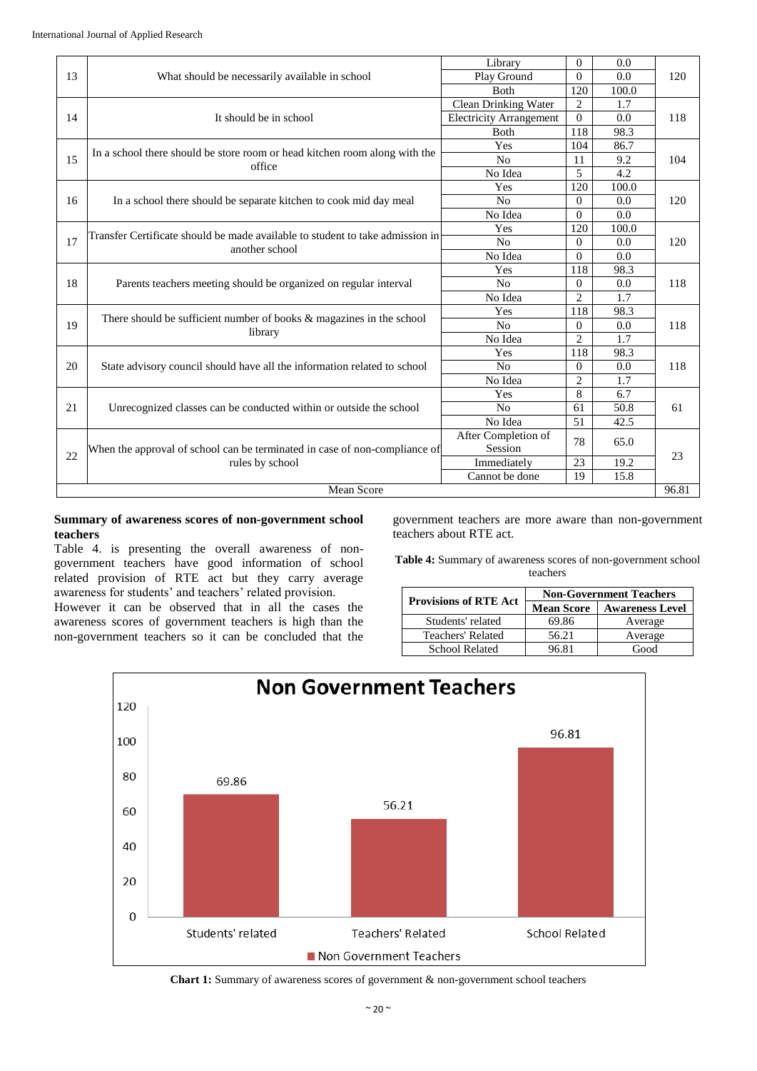| 13                  | What should be necessarily available in school                                                  | Library                        | $\Omega$       | 0.0   |     |
|---------------------|-------------------------------------------------------------------------------------------------|--------------------------------|----------------|-------|-----|
|                     |                                                                                                 | Play Ground                    | $\Omega$       | 0.0   | 120 |
|                     |                                                                                                 | Both                           | 120            | 100.0 |     |
|                     | It should be in school                                                                          | Clean Drinking Water           | $\overline{2}$ | 1.7   |     |
| 14                  |                                                                                                 | <b>Electricity Arrangement</b> | $\Omega$       | 0.0   | 118 |
|                     |                                                                                                 | <b>B</b> oth                   | 118            | 98.3  |     |
|                     |                                                                                                 | Yes                            | 104            | 86.7  |     |
| 15                  | In a school there should be store room or head kitchen room along with the<br>office            | No                             | 11             | 9.2   | 104 |
|                     |                                                                                                 | No Idea                        | 5              | 4.2   |     |
|                     |                                                                                                 | Yes                            | 120            | 100.0 |     |
| 16                  | In a school there should be separate kitchen to cook mid day meal                               | N <sub>0</sub>                 | $\theta$       | 0.0   | 120 |
|                     |                                                                                                 | No Idea                        | $\Omega$       | 0.0   |     |
|                     |                                                                                                 | Yes                            | 120            | 100.0 |     |
| 17                  | Transfer Certificate should be made available to student to take admission in<br>another school | N <sub>o</sub>                 | $\theta$       | 0.0   | 120 |
|                     |                                                                                                 | No Idea                        | $\Omega$       | 0.0   |     |
|                     | Parents teachers meeting should be organized on regular interval                                | Yes                            | 118            | 98.3  | 118 |
| 18                  |                                                                                                 | N <sub>0</sub>                 | $\Omega$       | 0.0   |     |
|                     |                                                                                                 | No Idea                        | $\overline{2}$ | 1.7   |     |
|                     | There should be sufficient number of books $\&$ magazines in the school<br>library              | Yes                            | 118            | 98.3  |     |
| 19                  |                                                                                                 | N <sub>o</sub>                 | $\Omega$       | 0.0   | 118 |
|                     |                                                                                                 | No Idea                        | $\overline{2}$ | 1.7   |     |
|                     |                                                                                                 | Yes                            | 118            | 98.3  |     |
| 20                  | State advisory council should have all the information related to school                        | N <sub>0</sub>                 | $\Omega$       | 0.0   | 118 |
|                     |                                                                                                 | No Idea                        | $\overline{2}$ | 1.7   |     |
|                     |                                                                                                 | Yes                            | 8              | 6.7   |     |
| 21                  | Unrecognized classes can be conducted within or outside the school                              | N <sub>o</sub>                 | 61             | 50.8  | 61  |
|                     |                                                                                                 | No Idea                        | 51             | 42.5  |     |
| 22                  | When the approval of school can be terminated in case of non-compliance of<br>rules by school   | After Completion of            | 78             | 65.0  |     |
|                     |                                                                                                 | Session                        |                |       | 23  |
|                     |                                                                                                 | Immediately                    | 23             | 19.2  |     |
|                     |                                                                                                 | Cannot be done                 | 19             | 15.8  |     |
| 96.81<br>Mean Score |                                                                                                 |                                |                |       |     |

#### **Summary of awareness scores of non-government school teachers**

Table 4. is presenting the overall awareness of nongovernment teachers have good information of school related provision of RTE act but they carry average awareness for students' and teachers' related provision.

However it can be observed that in all the cases the awareness scores of government teachers is high than the non-government teachers so it can be concluded that the government teachers are more aware than non-government teachers about RTE act.

**Table 4:** Summary of awareness scores of non-government school teachers

| <b>Provisions of RTE Act</b> | <b>Non-Government Teachers</b> |                        |  |  |
|------------------------------|--------------------------------|------------------------|--|--|
|                              | <b>Mean Score</b>              | <b>Awareness Level</b> |  |  |
| Students' related            | 69.86                          | Average                |  |  |
| Teachers' Related            | 56.21                          | Average                |  |  |
| <b>School Related</b>        | 96.81                          | Good                   |  |  |



**Chart 1:** Summary of awareness scores of government & non-government school teachers